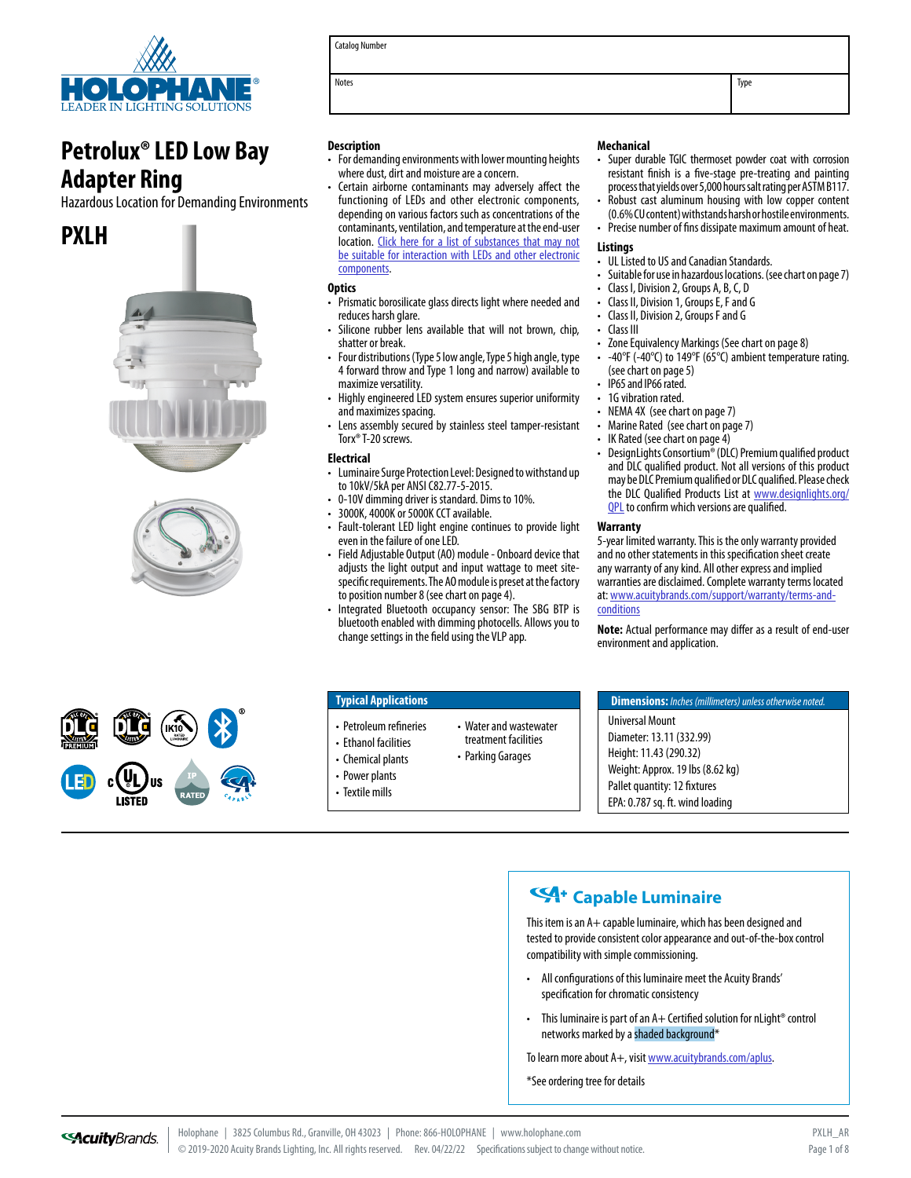

# **Petrolux® LED Low Bay Adapter Ring**

Hazardous Location for Demanding Environments

# **PXLH**





Catalog Number

Notes **Notes** Type **Type Intervention of the Intervention of the Intervention of the Intervention of the Intervention of the Intervention of the Intervention of the Intervention of the Intervention of the Intervention of t** 

#### **Description**

- For demanding environments with lower mounting heights where dust, dirt and moisture are a concern.
- Certain airborne contaminants may adversely affect the functioning of LEDs and other electronic components, depending on various factors such as concentrations of the contaminants, ventilation, and temperature at the end-user location. [Click here for a list of substances that may not](http://www.acuitybrandslighting.com/library/LL/documents/otherdocuments/LED%20Chemical%20Compatibility.pdf)  [be suitable for interaction with LEDs and other electronic](http://www.acuitybrandslighting.com/library/LL/documents/otherdocuments/LED%20Chemical%20Compatibility.pdf)  [components.](http://www.acuitybrandslighting.com/library/LL/documents/otherdocuments/LED%20Chemical%20Compatibility.pdf)

#### **Optics**

- Prismatic borosilicate glass directs light where needed and reduces harsh glare.
- Silicone rubber lens available that will not brown, chip, shatter or break.
- Four distributions (Type 5 low angle, Type 5 high angle, type 4 forward throw and Type 1 long and narrow) available to maximize versatility.
- Highly engineered LED system ensures superior uniformity and maximizes spacing.
- Lens assembly secured by stainless steel tamper-resistant Torx® T-20 screws.

#### **Electrical**

- Luminaire Surge Protection Level: Designed to withstand up to 10kV/5kA per ANSI C82.77-5-2015.
- 0-10V dimming driver is standard. Dims to 10%.
- 3000K, 4000K or 5000K CCT available.
- Fault-tolerant LED light engine continues to provide light even in the failure of one LED.
- Field Adjustable Output (AO) module Onboard device that adjusts the light output and input wattage to meet sitespecific requirements. The AO module is preset at the factory to position number 8 (see chart on page 4).
- Integrated Bluetooth occupancy sensor: The SBG BTP is bluetooth enabled with dimming photocells. Allows you to change settings in the field using the VLP app.

• Water and wastewater treatment facilities • Parking Garages

#### **Mechanical**

- Super durable TGIC thermoset powder coat with corrosion resistant finish is a five-stage pre-treating and painting process that yields over 5,000 hours salt rating per ASTM B117.
- Robust cast aluminum housing with low copper content (0.6% CU content) withstands harsh or hostile environments.
- Precise number of fins dissipate maximum amount of heat.

#### **Listings**

- UL Listed to US and Canadian Standards.
- Suitable for use in hazardous locations. (see chart on page 7)
- Class I, Division 2, Groups A, B, C, D
- Class II, Division 1, Groups E, F and G
- Class II, Division 2, Groups F and G
- Class III
- Zone Equivalency Markings (See chart on page 8)
- -40°F (-40°C) to 149°F (65°C) ambient temperature rating. (see chart on page 5)
- IP65 and IP66 rated.
- 1G vibration rated.
- NEMA 4X (see chart on page 7)
- Marine Rated (see chart on page 7)
- IK Rated (see chart on page 4)
- DesignLights Consortium® (DLC) Premium qualified product and DLC qualified product. Not all versions of this product may be DLC Premium qualified or DLC qualified. Please check the DLC Qualified Products List at [www.designlights.org/](http://www.designlights.org/QPL) **QPL** to confirm which versions are qualified.

#### **Warranty**

5-year limited warranty. This is the only warranty provided and no other statements in this specification sheet create any warranty of any kind. All other express and implied warranties are disclaimed. Complete warranty terms located at: [www.acuitybrands.com/support/warranty/terms-and](http://www.acuitybrands.com/support/warranty/terms-and-conditions)[conditions](http://www.acuitybrands.com/support/warranty/terms-and-conditions)

**Note:** Actual performance may differ as a result of end-user environment and application.



#### **Typical Applications**

- Petroleum refineries
- Ethanol facilities
- Chemical plants
- Power plants
- Textile mills

**Dimensions:** *Inches (millimeters) unless otherwise noted.*  Universal Mount Diameter: 13.11 (332.99) Height: 11.43 (290.32) Weight: Approx. 19 lbs (8.62 kg) Pallet quantity: 12 fixtures EPA: 0.787 sq. ft. wind loading

## **Capable Luminaire**

This item is an A+ capable luminaire, which has been designed and tested to provide consistent color appearance and out-of-the-box control compatibility with simple commissioning.

- All configurations of this luminaire meet the Acuity Brands' specification for chromatic consistency
- This luminaire is part of an  $A+$  Certified solution for nLight® control networks marked by a shaded background\*

To learn more about A+, visit [www.acuitybrands.com/aplus.](http://www.acuitybrands.com/aplus)

\*See ordering tree for details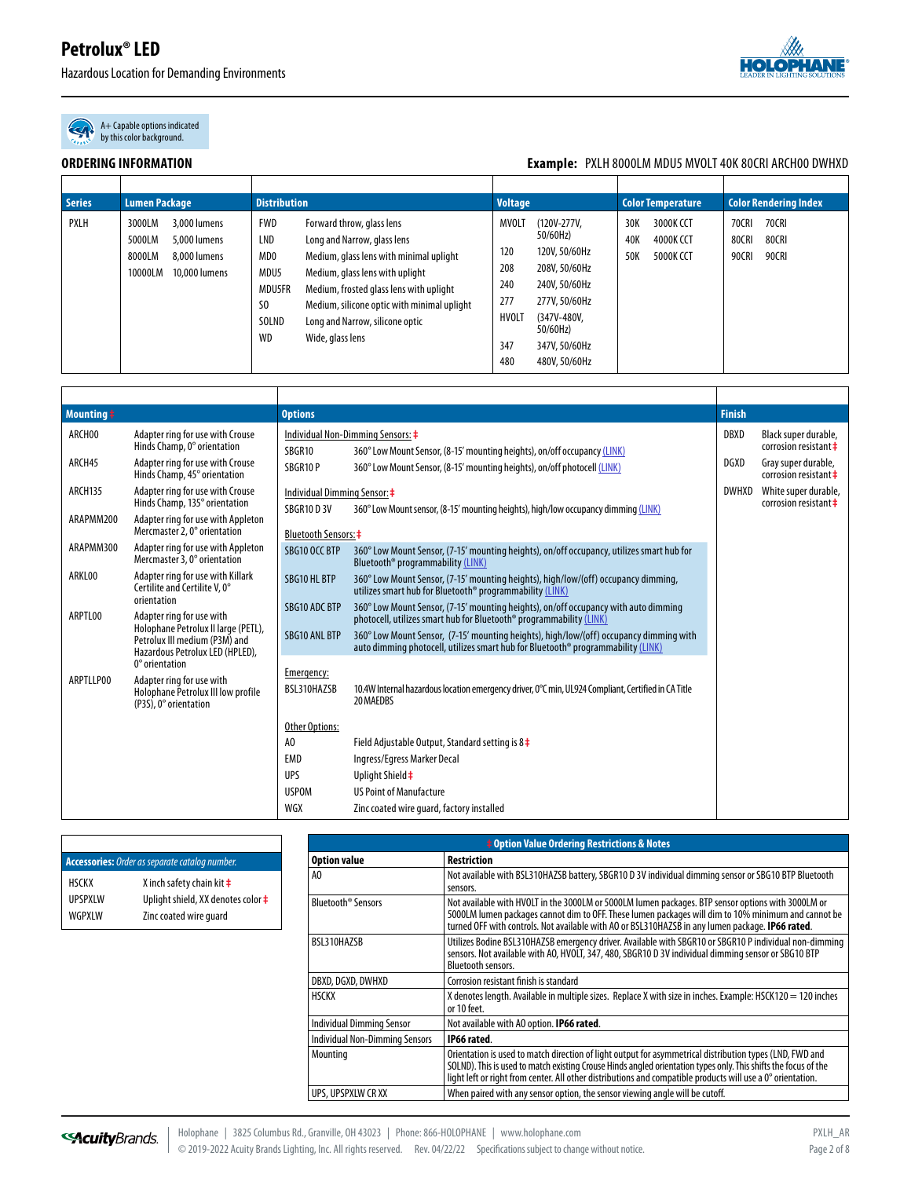Hazardous Location for Demanding Environments



A+ Capable options indicated by this color background.

#### **ORDERING INFORMATION Example:** PXLH 8000LM MDU5 MVOLT 40K 80CRI ARCH00 DWHXD

| <b>Series</b> | <b>Lumen Package</b>                                                                                   | <b>Distribution</b>                                                                                                                                                                                                                                                                                                                                                                       | <b>Voltage</b>                                                                                                                                                                                                       | <b>Color Temperature</b>                                        | <b>Color Rendering Index</b>                                     |  |
|---------------|--------------------------------------------------------------------------------------------------------|-------------------------------------------------------------------------------------------------------------------------------------------------------------------------------------------------------------------------------------------------------------------------------------------------------------------------------------------------------------------------------------------|----------------------------------------------------------------------------------------------------------------------------------------------------------------------------------------------------------------------|-----------------------------------------------------------------|------------------------------------------------------------------|--|
| <b>PXLH</b>   | 3,000 lumens<br>3000LM<br>5000LM<br>5,000 lumens<br>8000LM<br>8,000 lumens<br>10000LM<br>10,000 lumens | <b>FWD</b><br>Forward throw, glass lens<br>LND<br>Long and Narrow, glass lens<br>MD <sub>0</sub><br>Medium, glass lens with minimal uplight<br>MDU5<br>Medium, glass lens with uplight<br><b>MDU5FR</b><br>Medium, frosted glass lens with uplight<br>S <sub>0</sub><br>Medium, silicone optic with minimal uplight<br>SOLND<br>Long and Narrow, silicone optic<br>WD<br>Wide, glass lens | MVOLT<br>(120V-277V,<br>50/60Hz)<br>120<br>120V, 50/60Hz<br>208<br>208V, 50/60Hz<br>240<br>240V, 50/60Hz<br>277<br>277V, 50/60Hz<br>HVOLT<br>(347V-480V,<br>50/60Hz)<br>347<br>347V, 50/60Hz<br>480<br>480V, 50/60Hz | 30K<br>3000K CCT<br>40K<br>4000K CCT<br>50K<br><b>5000K CCT</b> | <b>70CRI</b><br><b>70CRI</b><br>80CRI<br>80CRI<br>90CRI<br>90CRI |  |

| $M$ ounting $\frac{1}{2}$                                                                                                        |                                                                                                         | <b>Options</b>              |                                                                                                                                                                            |             |                                                  |  |
|----------------------------------------------------------------------------------------------------------------------------------|---------------------------------------------------------------------------------------------------------|-----------------------------|----------------------------------------------------------------------------------------------------------------------------------------------------------------------------|-------------|--------------------------------------------------|--|
| ARCH00                                                                                                                           | Adapter ring for use with Crouse<br>Hinds Champ, 0° orientation                                         | SBGR10                      | Individual Non-Dimming Sensors: $\ddagger$<br>360° Low Mount Sensor, (8-15' mounting heights), on/off occupancy (LINK)                                                     | DBXD        | Black super durable,<br>corrosion resistant ‡    |  |
| ARCH45                                                                                                                           | Adapter ring for use with Crouse<br>Hinds Champ, 45° orientation                                        | SBGR10P                     | 360° Low Mount Sensor, (8-15' mounting heights), on/off photocell (LINK)                                                                                                   | <b>DGXD</b> | Gray super durable,<br>corrosion resistant $\pm$ |  |
| ARCH135                                                                                                                          | Adapter ring for use with Crouse<br>Hinds Champ, 135° orientation                                       | <b>SBGR10 D 3V</b>          | <b>DWHXD</b><br>Individual Dimming Sensor: ‡<br>360° Low Mount sensor, (8-15' mounting heights), high/low occupancy dimming (LINK)                                         |             |                                                  |  |
| ARAPMM200                                                                                                                        | Adapter ring for use with Appleton<br>Mercmaster 2, 0° orientation                                      | <b>Bluetooth Sensors: #</b> |                                                                                                                                                                            |             |                                                  |  |
| ARAPMM300                                                                                                                        | Adapter ring for use with Appleton<br>Mercmaster 3, 0° orientation                                      | SBG10 OCC BTP               | 360° Low Mount Sensor, (7-15' mounting heights), on/off occupancy, utilizes smart hub for<br>Bluetooth <sup>®</sup> programmability (LINK)                                 |             |                                                  |  |
| ARKL00                                                                                                                           | Adapter ring for use with Killark<br>Certilite and Certilite V, 0°                                      | SBG10 HL BTP                | 360° Low Mount Sensor, (7-15' mounting heights), high/low/(off) occupancy dimming,<br>utilizes smart hub for Bluetooth <sup>®</sup> programmability (LINK)                 |             |                                                  |  |
| ARPTL00                                                                                                                          | orientation<br>Adapter ring for use with                                                                | <b>SBG10 ADC BTP</b>        | 360° Low Mount Sensor, (7-15' mounting heights), on/off occupancy with auto dimming<br>photocell, utilizes smart hub for Bluetooth <sup>®</sup> programmability (LINK)     |             |                                                  |  |
|                                                                                                                                  | Holophane Petrolux II large (PETL),<br>Petrolux III medium (P3M) and<br>Hazardous Petrolux LED (HPLED), | <b>SBG10 ANL BTP</b>        | 360° Low Mount Sensor, (7-15' mounting heights), high/low/(off) occupancy dimming with<br>auto dimming photocell, utilizes smart hub for Bluetooth® programmability (LINK) |             |                                                  |  |
| $0^{\circ}$ orientation<br>ARPTLLP00<br>Adapter ring for use with<br>Holophane Petrolux III low profile<br>(P3S), 0° orientation |                                                                                                         | Emergency:<br>BSL310HAZSB   | 10.4W Internal hazardous location emergency driver, 0°C min, UL924 Compliant, Certified in CA Title<br>20 MAEDBS                                                           |             |                                                  |  |
|                                                                                                                                  |                                                                                                         | <b>Other Options:</b>       |                                                                                                                                                                            |             |                                                  |  |
|                                                                                                                                  |                                                                                                         | A <sub>0</sub>              | Field Adjustable Output, Standard setting is $8\ddagger$                                                                                                                   |             |                                                  |  |
|                                                                                                                                  |                                                                                                         | EMD                         | Ingress/Egress Marker Decal                                                                                                                                                |             |                                                  |  |
|                                                                                                                                  |                                                                                                         | <b>UPS</b>                  | Uplight Shield ‡                                                                                                                                                           |             |                                                  |  |
|                                                                                                                                  |                                                                                                         | <b>USPOM</b>                | <b>US Point of Manufacture</b>                                                                                                                                             |             |                                                  |  |
|                                                                                                                                  |                                                                                                         | WGX                         | Zinc coated wire quard, factory installed                                                                                                                                  |             |                                                  |  |

| <b>Accessories:</b> Order as separate catalog number. |                                             |  |  |  |  |  |
|-------------------------------------------------------|---------------------------------------------|--|--|--|--|--|
| <b>HSCKX</b>                                          | X inch safety chain kit $\ddagger$          |  |  |  |  |  |
| <b>UPSPXIW</b>                                        | Uplight shield, XX denotes color $\ddagger$ |  |  |  |  |  |
| WGPXI W                                               | Zinc coated wire quard                      |  |  |  |  |  |

| <b>‡ Option Value Ordering Restrictions &amp; Notes</b> |                                                                                                                                                                                                                                                                                                                                            |  |  |  |  |  |  |
|---------------------------------------------------------|--------------------------------------------------------------------------------------------------------------------------------------------------------------------------------------------------------------------------------------------------------------------------------------------------------------------------------------------|--|--|--|--|--|--|
| <b>Option value</b>                                     | <b>Restriction</b>                                                                                                                                                                                                                                                                                                                         |  |  |  |  |  |  |
| AO                                                      | Not available with BSL310HAZSB battery, SBGR10 D 3V individual dimming sensor or SBG10 BTP Bluetooth<br>sensors.                                                                                                                                                                                                                           |  |  |  |  |  |  |
| Bluetooth <sup>®</sup> Sensors                          | Not available with HVOLT in the 3000LM or 5000LM lumen packages. BTP sensor options with 3000LM or<br>5000LM lumen packages cannot dim to OFF. These lumen packages will dim to 10% minimum and cannot be<br>turned OFF with controls. Not available with AO or BSL310HAZSB in any lumen package. IP66 rated.                              |  |  |  |  |  |  |
| BSL310HAZSB                                             | Utilizes Bodine BSL310HAZSB emergency driver. Available with SBGR10 or SBGR10 P individual non-dimming<br>sensors. Not available with AO, HVOLT, 347, 480, SBGR10 D 3V individual dimming sensor or SBG10 BTP<br><b>Bluetooth sensors.</b>                                                                                                 |  |  |  |  |  |  |
| DBXD, DGXD, DWHXD                                       | Corrosion resistant finish is standard                                                                                                                                                                                                                                                                                                     |  |  |  |  |  |  |
| <b>HSCKX</b>                                            | X denotes length. Available in multiple sizes. Replace X with size in inches. Example: HSCK120 = 120 inches<br>or 10 feet.                                                                                                                                                                                                                 |  |  |  |  |  |  |
| Individual Dimming Sensor                               | Not available with AO option. <b>IP66 rated.</b>                                                                                                                                                                                                                                                                                           |  |  |  |  |  |  |
| Individual Non-Dimming Sensors                          | IP66 rated.                                                                                                                                                                                                                                                                                                                                |  |  |  |  |  |  |
| Mounting                                                | Orientation is used to match direction of light output for asymmetrical distribution types (LND, FWD and<br>SOLND). This is used to match existing Crouse Hinds angled orientation types only. This shifts the focus of the<br>light left or right from center. All other distributions and compatible products will use a 0° orientation. |  |  |  |  |  |  |
| UPS, UPSPXLW CR XX                                      | When paired with any sensor option, the sensor viewing angle will be cutoff.                                                                                                                                                                                                                                                               |  |  |  |  |  |  |

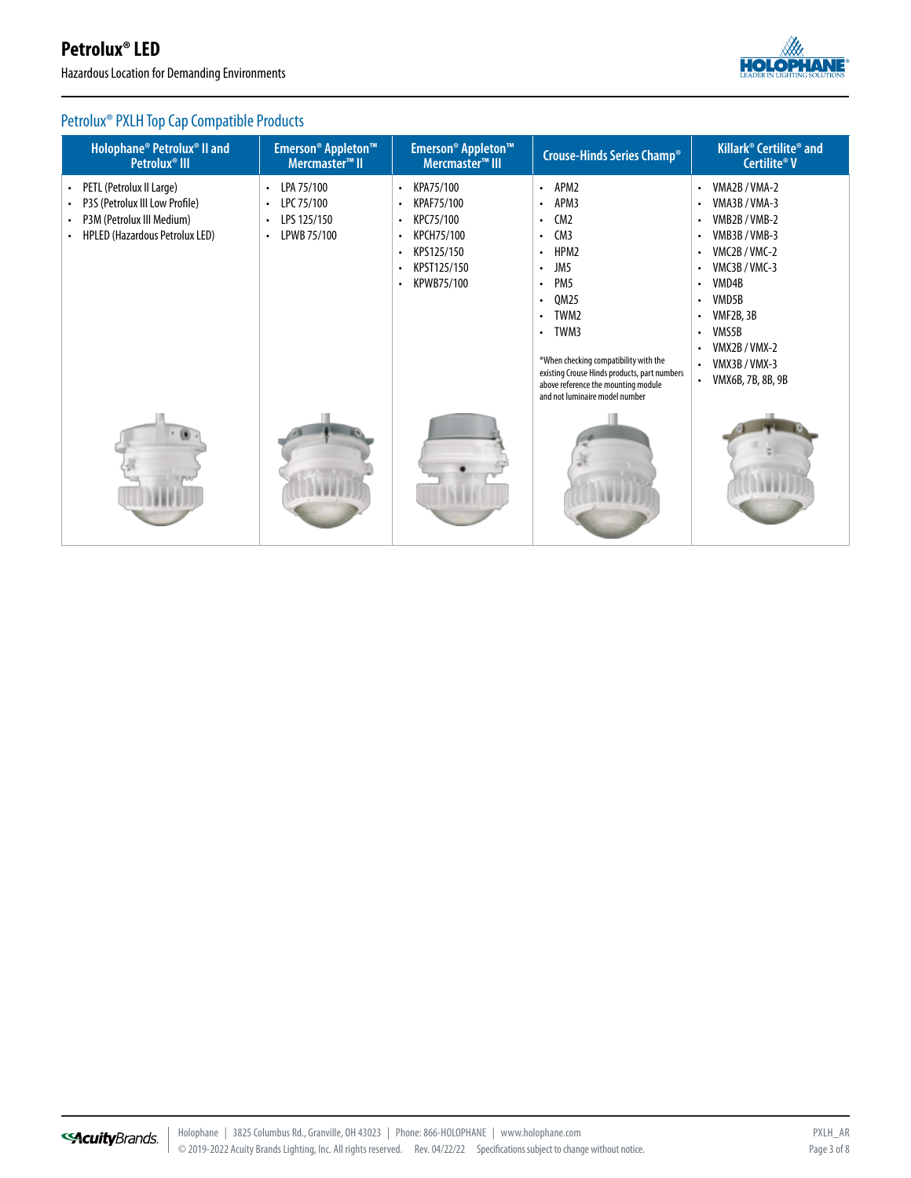Hazardous Location for Demanding Environments



## Petrolux® PXLH Top Cap Compatible Products

| Holophane <sup>®</sup> Petrolux <sup>®</sup> II and<br>Petrolux <sup>®</sup> III                                                                    | Emerson <sup>®</sup> Appleton <sup>™</sup><br>Mercmaster <sup>™</sup> II                                   | Emerson <sup>®</sup> Appleton <sup>™</sup><br>Mercmaster <sup>™</sup> III                                                                                                                | Crouse-Hinds Series Champ®                                                                                                                                                                                                                                                                                                                                   | Killark <sup>®</sup> Certilite <sup>®</sup> and<br>Certilite® V                                                                                                                                                                          |
|-----------------------------------------------------------------------------------------------------------------------------------------------------|------------------------------------------------------------------------------------------------------------|------------------------------------------------------------------------------------------------------------------------------------------------------------------------------------------|--------------------------------------------------------------------------------------------------------------------------------------------------------------------------------------------------------------------------------------------------------------------------------------------------------------------------------------------------------------|------------------------------------------------------------------------------------------------------------------------------------------------------------------------------------------------------------------------------------------|
| PETL (Petrolux II Large)<br>$\bullet$<br>P3S (Petrolux III Low Profile)<br>$\bullet$<br>P3M (Petrolux III Medium)<br>HPLED (Hazardous Petrolux LED) | LPA 75/100<br>$\bullet$<br>LPC 75/100<br>$\bullet$<br>LPS 125/150<br>$\bullet$<br>LPWB 75/100<br>$\bullet$ | KPA75/100<br>$\bullet$<br>KPAF75/100<br>$\bullet$<br>KPC75/100<br>$\bullet$<br>KPCH75/100<br>$\bullet$<br>KPS125/150<br>$\bullet$<br>KPST125/150<br>$\bullet$<br>KPWB75/100<br>$\bullet$ | • APM2<br>APM3<br>$\bullet$<br>CM <sub>2</sub><br>$\bullet$<br>CM3<br>$\bullet$<br>HPM2<br>$\bullet$<br>JM5<br>$\bullet$<br>PM <sub>5</sub><br>٠<br>QM25<br>TWM2<br>٠<br>TWM3<br>$\bullet$<br>*When checking compatibility with the<br>existing Crouse Hinds products, part numbers<br>above reference the mounting module<br>and not luminaire model number | VMA2B / VMA-2<br>$\bullet$<br>VMA3B/VMA-3<br>٠<br>VMB2B/VMB-2<br>VMB3B/VMB-3<br>VMC2B/VMC-2<br>VMC3B/VMC-3<br>VMD4B<br>٠<br>VMD5B<br>VMF2B, 3B<br>VMS5B<br>VMX2B / VMX-2<br>VMX3B / VMX-3<br>$\bullet$<br>VMX6B, 7B, 8B, 9B<br>$\bullet$ |
|                                                                                                                                                     |                                                                                                            |                                                                                                                                                                                          |                                                                                                                                                                                                                                                                                                                                                              |                                                                                                                                                                                                                                          |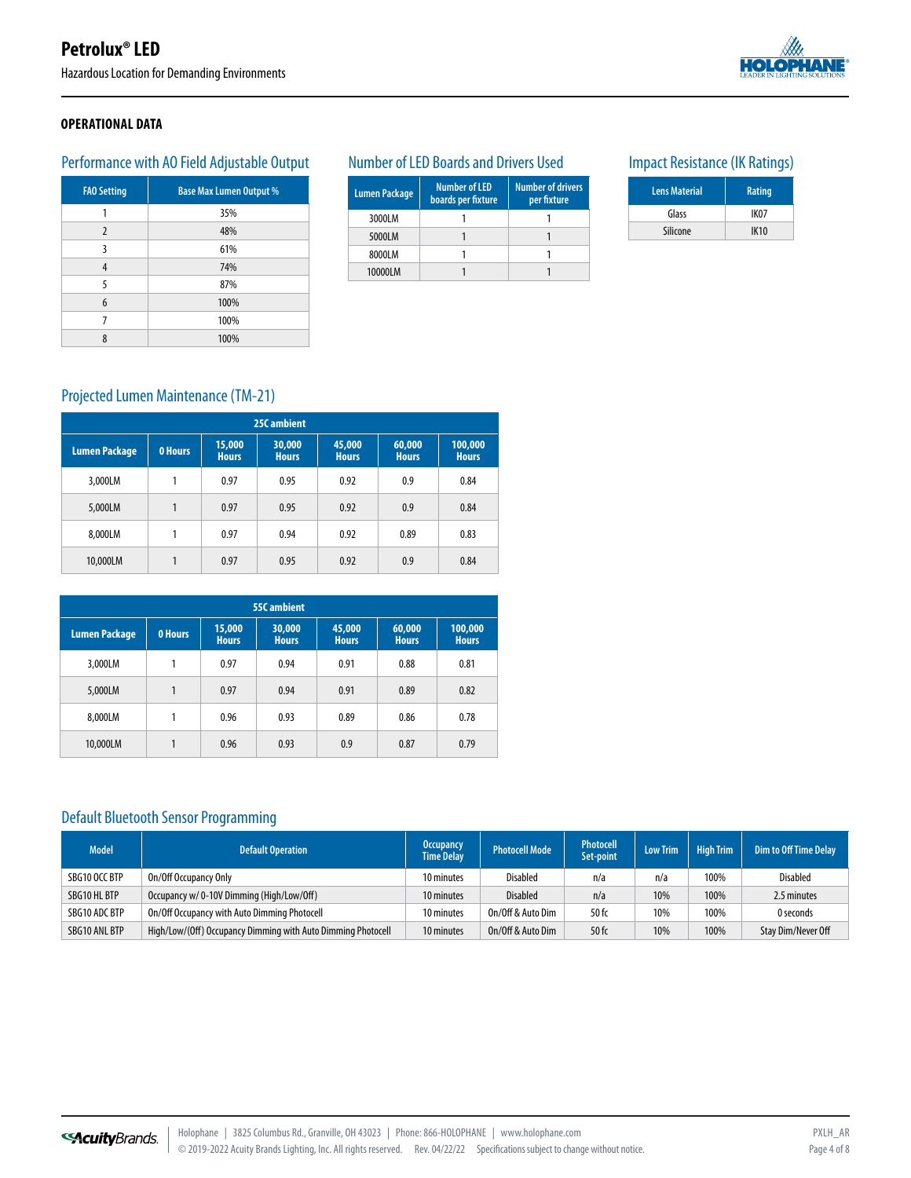Hazardous Location for Demanding Environments



#### **OPERATIONAL DATA**

## Performance with AO Field Adjustable Output

| <b>FAO Setting</b> | <b>Base Max Lumen Output %</b> |
|--------------------|--------------------------------|
| 1                  | 35%                            |
| $\overline{2}$     | 48%                            |
| 3                  | 61%                            |
| 4                  | 74%                            |
| 5                  | 87%                            |
| 6                  | 100%                           |
| 7                  | 100%                           |
| 8                  | 100%                           |

#### Number of LED Boards and Drivers Used

| <b>Lumen Package</b> | <b>Number of LED</b><br>boards per fixture | <b>Number of drivers</b><br>per fixture |
|----------------------|--------------------------------------------|-----------------------------------------|
| 3000LM               |                                            |                                         |
| 5000LM               |                                            |                                         |
| 8000LM               |                                            |                                         |
| 10000LM              |                                            |                                         |

## Impact Resistance (IK Ratings)

| <b>Lens Material</b> | Rating           |
|----------------------|------------------|
| Glass                | IK <sub>07</sub> |
| Silicone             | <b>IK10</b>      |

## Projected Lumen Maintenance (TM-21)

| 25C ambient          |                |                        |                        |                        |                        |                         |  |  |  |  |
|----------------------|----------------|------------------------|------------------------|------------------------|------------------------|-------------------------|--|--|--|--|
| <b>Lumen Package</b> | <b>0 Hours</b> | 15,000<br><b>Hours</b> | 30,000<br><b>Hours</b> | 45,000<br><b>Hours</b> | 60,000<br><b>Hours</b> | 100,000<br><b>Hours</b> |  |  |  |  |
| 3,000LM              |                | 0.97                   | 0.95                   | 0.92                   | 0.9                    | 0.84                    |  |  |  |  |
| 5,000LM              | 1              | 0.97                   | 0.95                   | 0.92                   | 0.9                    | 0.84                    |  |  |  |  |
| 8.000LM              | 1              | 0.97                   | 0.94                   | 0.92                   | 0.89                   | 0.83                    |  |  |  |  |
| 10,000LM             | 1              | 0.97                   | 0.95                   | 0.92                   | 0.9                    | 0.84                    |  |  |  |  |

| 55C ambient   |                |                        |                        |                        |                        |                         |  |  |  |
|---------------|----------------|------------------------|------------------------|------------------------|------------------------|-------------------------|--|--|--|
| Lumen Package | <b>0 Hours</b> | 15,000<br><b>Hours</b> | 30,000<br><b>Hours</b> | 45,000<br><b>Hours</b> | 60,000<br><b>Hours</b> | 100,000<br><b>Hours</b> |  |  |  |
| 3.000LM       |                | 0.97                   | 0.94                   | 0.91                   | 0.88                   | 0.81                    |  |  |  |
| 5,000LM       | 1              | 0.97                   | 0.94                   | 0.91                   | 0.89                   | 0.82                    |  |  |  |
| 8.000LM       | 1              | 0.96                   | 0.93                   | 0.89                   | 0.86                   | 0.78                    |  |  |  |
| 10,000LM      | 1              | 0.96                   | 0.93                   | 0.9                    | 0.87                   | 0.79                    |  |  |  |

## Default Bluetooth Sensor Programming

| <b>Model</b>  | <b>Default Operation</b>                                     | <b>Occupancy</b><br><b>Time Delay</b> | <b>Photocell Mode</b> | <b>Photocell</b><br>Set-point | <b>Low Trim</b> | <b>High Trim</b> | <b>Dim to Off Time Delay</b> |
|---------------|--------------------------------------------------------------|---------------------------------------|-----------------------|-------------------------------|-----------------|------------------|------------------------------|
| SBG10 OCC BTP | On/Off Occupancy Only                                        | 10 minutes                            | <b>Disabled</b>       | n/a                           | n/a             | 100%             | <b>Disabled</b>              |
| SBG10 HL BTP  | Occupancy w/0-10V Dimming (High/Low/Off)                     | 10 minutes                            | <b>Disabled</b>       | n/a                           | 10%             | 100%             | 2.5 minutes                  |
| SBG10 ADC BTP | On/Off Occupancy with Auto Dimming Photocell                 | 10 minutes                            | On/Off & Auto Dim     | 50 fc                         | 10%             | 100%             | 0 seconds                    |
| SBG10 ANL BTP | High/Low/(Off) Occupancy Dimming with Auto Dimming Photocell | 10 minutes                            | On/Off & Auto Dim     | 50 fc                         | 10%             | 100%             | Stay Dim/Never Off           |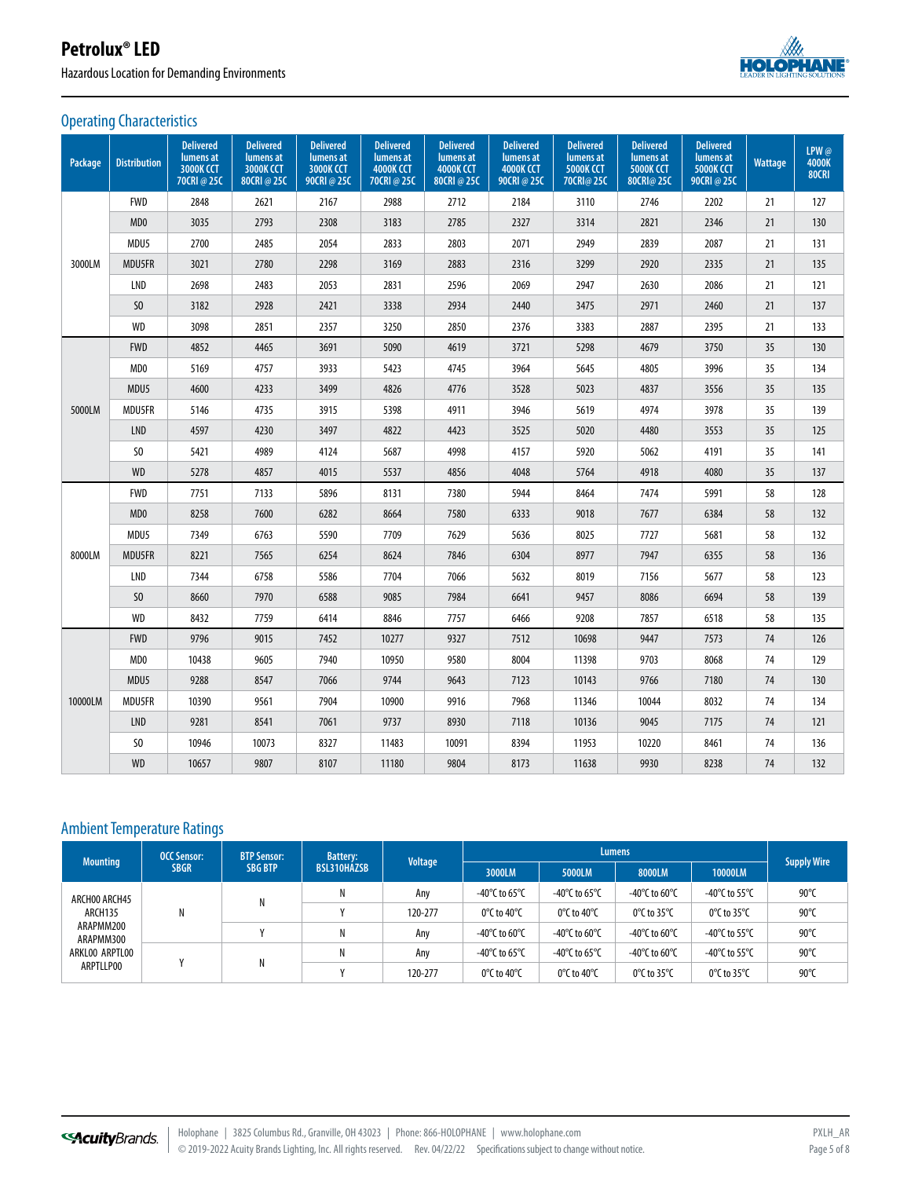Hazardous Location for Demanding Environments



#### Operating Characteristics

| Package | <b>Distribution</b>         | <b>Delivered</b><br>lumens at<br><b>3000K CCT</b><br>70CRI@25C | <b>Delivered</b><br>lumens at<br><b>3000K CCT</b><br>80CRI @ 25C | <b>Delivered</b><br>lumens at<br>3000K CCT<br>90CRI@25C | <b>Delivered</b><br>lumens at<br><b>4000K CCT</b><br>70CRI@25C | <b>Delivered</b><br>lumens at<br><b>4000K CCT</b><br>80CRI@25C | <b>Delivered</b><br>lumens at<br><b>4000K CCT</b><br>90CRI@25C | <b>Delivered</b><br>lumens at<br><b>5000K CCT</b><br>70CRI@ 25C | <b>Delivered</b><br>lumens at<br><b>5000K CCT</b><br>80CRI@ 25C | <b>Delivered</b><br>lumens at<br>5000K CCT<br>90CRI@25C | Wattage | LPW@<br>4000K<br><b>80CRI</b> |
|---------|-----------------------------|----------------------------------------------------------------|------------------------------------------------------------------|---------------------------------------------------------|----------------------------------------------------------------|----------------------------------------------------------------|----------------------------------------------------------------|-----------------------------------------------------------------|-----------------------------------------------------------------|---------------------------------------------------------|---------|-------------------------------|
|         | <b>FWD</b>                  | 2848                                                           | 2621                                                             | 2167                                                    | 2988                                                           | 2712                                                           | 2184                                                           | 3110                                                            | 2746                                                            | 2202                                                    | 21      | 127                           |
|         | MD <sub>0</sub>             | 3035                                                           | 2793                                                             | 2308                                                    | 3183                                                           | 2785                                                           | 2327                                                           | 3314                                                            | 2821                                                            | 2346                                                    | 21      | 130                           |
|         | MDU5                        | 2700                                                           | 2485                                                             | 2054                                                    | 2833                                                           | 2803                                                           | 2071                                                           | 2949                                                            | 2839                                                            | 2087                                                    | 21      | 131                           |
| 3000LM  | MDU5FR                      | 3021                                                           | 2780                                                             | 2298                                                    | 3169                                                           | 2883                                                           | 2316                                                           | 3299                                                            | 2920                                                            | 2335                                                    | 21      | 135                           |
|         | LND                         | 2698                                                           | 2483                                                             | 2053                                                    | 2831                                                           | 2596                                                           | 2069                                                           | 2947                                                            | 2630                                                            | 2086                                                    | 21      | 121                           |
|         | SO <sub>2</sub>             | 3182                                                           | 2928                                                             | 2421                                                    | 3338                                                           | 2934                                                           | 2440                                                           | 3475                                                            | 2971                                                            | 2460                                                    | 21      | 137                           |
|         | <b>WD</b>                   | 3098                                                           | 2851                                                             | 2357                                                    | 3250                                                           | 2850                                                           | 2376                                                           | 3383                                                            | 2887                                                            | 2395                                                    | 21      | 133                           |
|         | <b>FWD</b>                  | 4852                                                           | 4465                                                             | 3691                                                    | 5090                                                           | 4619                                                           | 3721                                                           | 5298                                                            | 4679                                                            | 3750                                                    | 35      | 130                           |
|         | MD <sub>0</sub>             | 5169                                                           | 4757                                                             | 3933                                                    | 5423                                                           | 4745                                                           | 3964                                                           | 5645                                                            | 4805                                                            | 3996                                                    | 35      | 134                           |
|         | MDU5                        | 4600                                                           | 4233                                                             | 3499                                                    | 4826                                                           | 4776                                                           | 3528                                                           | 5023                                                            | 4837                                                            | 3556                                                    | 35      | 135                           |
| 5000LM  | MDU5FR                      | 5146                                                           | 4735                                                             | 3915                                                    | 5398                                                           | 4911                                                           | 3946                                                           | 5619                                                            | 4974                                                            | 3978                                                    | 35      | 139                           |
|         | <b>LND</b>                  | 4597                                                           | 4230                                                             | 3497                                                    | 4822                                                           | 4423                                                           | 3525                                                           | 5020                                                            | 4480                                                            | 3553                                                    | 35      | 125                           |
|         | S <sub>0</sub>              | 5421                                                           | 4989                                                             | 4124                                                    | 5687                                                           | 4998                                                           | 4157                                                           | 5920                                                            | 5062                                                            | 4191                                                    | 35      | 141                           |
|         | <b>WD</b>                   | 5278                                                           | 4857                                                             | 4015                                                    | 5537                                                           | 4856                                                           | 4048                                                           | 5764                                                            | 4918                                                            | 4080                                                    | 35      | 137                           |
|         | <b>FWD</b>                  | 7751                                                           | 7133                                                             | 5896                                                    | 8131                                                           | 7380                                                           | 5944                                                           | 8464                                                            | 7474                                                            | 5991                                                    | 58      | 128                           |
|         | M <sub>D</sub> <sub>0</sub> | 8258                                                           | 7600                                                             | 6282                                                    | 8664                                                           | 7580                                                           | 6333                                                           | 9018                                                            | 7677                                                            | 6384                                                    | 58      | 132                           |
|         | MDU5                        | 7349                                                           | 6763                                                             | 5590                                                    | 7709                                                           | 7629                                                           | 5636                                                           | 8025                                                            | 7727                                                            | 5681                                                    | 58      | 132                           |
| 8000LM  | MDU5FR                      | 8221                                                           | 7565                                                             | 6254                                                    | 8624                                                           | 7846                                                           | 6304                                                           | 8977                                                            | 7947                                                            | 6355                                                    | 58      | 136                           |
|         | LND                         | 7344                                                           | 6758                                                             | 5586                                                    | 7704                                                           | 7066                                                           | 5632                                                           | 8019                                                            | 7156                                                            | 5677                                                    | 58      | 123                           |
|         | S <sub>0</sub>              | 8660                                                           | 7970                                                             | 6588                                                    | 9085                                                           | 7984                                                           | 6641                                                           | 9457                                                            | 8086                                                            | 6694                                                    | 58      | 139                           |
|         | <b>WD</b>                   | 8432                                                           | 7759                                                             | 6414                                                    | 8846                                                           | 7757                                                           | 6466                                                           | 9208                                                            | 7857                                                            | 6518                                                    | 58      | 135                           |
|         | <b>FWD</b>                  | 9796                                                           | 9015                                                             | 7452                                                    | 10277                                                          | 9327                                                           | 7512                                                           | 10698                                                           | 9447                                                            | 7573                                                    | 74      | 126                           |
|         | MD <sub>0</sub>             | 10438                                                          | 9605                                                             | 7940                                                    | 10950                                                          | 9580                                                           | 8004                                                           | 11398                                                           | 9703                                                            | 8068                                                    | 74      | 129                           |
|         | MDU5                        | 9288                                                           | 8547                                                             | 7066                                                    | 9744                                                           | 9643                                                           | 7123                                                           | 10143                                                           | 9766                                                            | 7180                                                    | 74      | 130                           |
| 10000LM | <b>MDU5FR</b>               | 10390                                                          | 9561                                                             | 7904                                                    | 10900                                                          | 9916                                                           | 7968                                                           | 11346                                                           | 10044                                                           | 8032                                                    | 74      | 134                           |
|         | <b>LND</b>                  | 9281                                                           | 8541                                                             | 7061                                                    | 9737                                                           | 8930                                                           | 7118                                                           | 10136                                                           | 9045                                                            | 7175                                                    | 74      | 121                           |
|         | S <sub>0</sub>              | 10946                                                          | 10073                                                            | 8327                                                    | 11483                                                          | 10091                                                          | 8394                                                           | 11953                                                           | 10220                                                           | 8461                                                    | 74      | 136                           |
|         | <b>WD</b>                   | 10657                                                          | 9807                                                             | 8107                                                    | 11180                                                          | 9804                                                           | 8173                                                           | 11638                                                           | 9930                                                            | 8238                                                    | 74      | 132                           |

## Ambient Temperature Ratings

| <b>Mounting</b>                                                                   | <b>OCC Sensor:</b> | <b>BTP Sensor:</b><br><b>SBG BTP</b> | <b>Battery:</b><br><b>BSL310HAZSB</b>                           | <b>Voltage</b> | <b>Lumens</b>                                     |                                                   |                                                   |                                                     |                    |
|-----------------------------------------------------------------------------------|--------------------|--------------------------------------|-----------------------------------------------------------------|----------------|---------------------------------------------------|---------------------------------------------------|---------------------------------------------------|-----------------------------------------------------|--------------------|
|                                                                                   | <b>SBGR</b>        |                                      |                                                                 |                | 3000LM                                            | 5000LM                                            | 8000LM                                            | 10000LM                                             | <b>Supply Wire</b> |
| ARCHOO ARCH45<br>ARCH135<br>ARAPMM200<br>ARAPMM300<br>ARKLOO ARPTLOO<br>ARPTLLP00 |                    |                                      | Ν                                                               | Any            | -40°C to 65°C                                     | -40°C to 65°C                                     | -40°C to 60°C                                     | -40 $\degree$ C to 55 $\degree$ C                   | 90°C               |
|                                                                                   | Ν                  |                                      | Ν<br>0°C to 40°C<br>120-277<br>$0^{\circ}$ C to 40 $^{\circ}$ C |                | 0 $\mathrm{^{\circ}C}$ to 35 $\mathrm{^{\circ}C}$ | $0^{\circ}$ C to 35 $^{\circ}$ C                  | 90°C                                              |                                                     |                    |
|                                                                                   |                    |                                      | Ν                                                               | Any            | -40°C to 60°C                                     | -40°C to 60°C                                     | -40°C to 60°C                                     | -40°C to 55°C                                       | 90°C               |
|                                                                                   |                    |                                      | Ν                                                               | Any            | -40°C to 65°C                                     | -40 $\degree$ C to 65 $\degree$ C                 | -40°C to 60°C                                     | -40 $\mathrm{^{\circ}C}$ to 55 $\mathrm{^{\circ}C}$ | 90 $\degree$ C     |
|                                                                                   |                    |                                      |                                                                 | 120-277        | 0 $\degree$ C to 40 $\degree$ C                   | 0 $\mathrm{^{\circ}C}$ to 40 $\mathrm{^{\circ}C}$ | 0 $\mathrm{^{\circ}C}$ to 35 $\mathrm{^{\circ}C}$ | $0^{\circ}$ C to 35 $^{\circ}$ C                    | $90^{\circ}$ C     |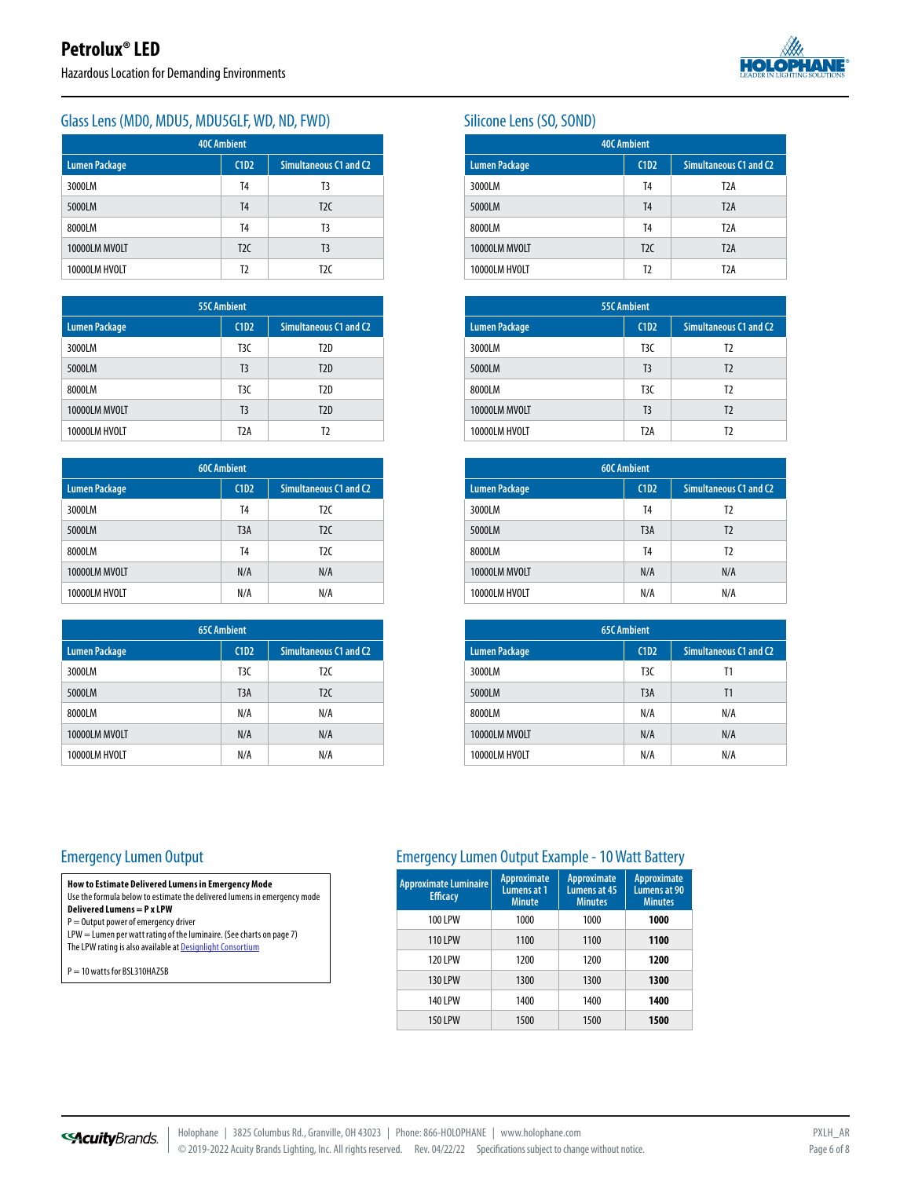

#### Glass Lens (MDO, MDU5, MDU5GLF, WD, ND, FWD) Silicone Lens (SO, SOND)

| <b>40C Ambient</b>   |      |                        |  |  |  |
|----------------------|------|------------------------|--|--|--|
| <b>Lumen Package</b> | C1D2 | Simultaneous C1 and C2 |  |  |  |
| 3000LM               | T4   | T3                     |  |  |  |
| 5000LM               | T4   | T2C                    |  |  |  |
| 8000LM               | T4   | T3                     |  |  |  |
| 10000LM MVOLT        | T2C  | T <sub>3</sub>         |  |  |  |
| 10000LM HVOLT        | T2   | T <sub>2C</sub>        |  |  |  |

| <b>55C Ambient</b>   |                  |                        |  |  |
|----------------------|------------------|------------------------|--|--|
| <b>Lumen Package</b> | C1D2             | Simultaneous C1 and C2 |  |  |
| 3000LM               | T <sub>3</sub> C | T2D                    |  |  |
| 5000LM               | T <sub>3</sub>   | T2D                    |  |  |
| 8000LM               | T <sub>3</sub> C | T2D                    |  |  |
| 10000LM MVOLT        | T <sub>3</sub>   | T2D                    |  |  |
| 10000LM HVOLT        | T <sub>2</sub> A | T)                     |  |  |

| <b>60C Ambient</b>   |                  |                        |  |  |  |
|----------------------|------------------|------------------------|--|--|--|
| <b>Lumen Package</b> | C1D2             | Simultaneous C1 and C2 |  |  |  |
| 3000LM               | T4               | T <sub>2C</sub>        |  |  |  |
| 5000LM               | T <sub>3</sub> A | T2C                    |  |  |  |
| 8000LM               | T4               | T <sub>2C</sub>        |  |  |  |
| 10000LM MVOLT        | N/A              | N/A                    |  |  |  |
| 10000LM HVOLT        | N/A              | N/A                    |  |  |  |

| <b>65C Ambient</b>   |                  |                        |  |  |  |
|----------------------|------------------|------------------------|--|--|--|
| <b>Lumen Package</b> | C1D2             | Simultaneous C1 and C2 |  |  |  |
| 3000LM               | T <sub>3</sub> C | T <sub>2C</sub>        |  |  |  |
| 5000LM               | T <sub>3</sub> A | T <sub>2C</sub>        |  |  |  |
| 8000LM               | N/A              | N/A                    |  |  |  |
| 10000LM MVOLT        | N/A              | N/A                    |  |  |  |
| 10000LM HVOLT        | N/A              | N/A                    |  |  |  |

| <b>40C Ambient</b>   |                |                               |  |  |  |
|----------------------|----------------|-------------------------------|--|--|--|
| <b>Lumen Package</b> | C1D2           | <b>Simultaneous C1 and C2</b> |  |  |  |
| 3000LM               | T4             | T <sub>2</sub> A              |  |  |  |
| 5000LM               | T <sub>4</sub> | T <sub>2</sub> A              |  |  |  |
| 8000LM               | T <sub>4</sub> | T <sub>2</sub> A              |  |  |  |
| 10000LM MVOLT        | T2C            | T <sub>2</sub> A              |  |  |  |
| 10000LM HVOLT        | T <sub>2</sub> | T <sub>2</sub> A              |  |  |  |

| <b>55C Ambient</b>   |                  |                        |  |  |  |
|----------------------|------------------|------------------------|--|--|--|
| <b>Lumen Package</b> | C1D2             | Simultaneous C1 and C2 |  |  |  |
| 3000LM               | T <sub>3</sub> C | T2                     |  |  |  |
| 5000LM               | T <sub>3</sub>   | T <sub>2</sub>         |  |  |  |
| 8000LM               | T <sub>3</sub> C | T2                     |  |  |  |
| 10000LM MVOLT        | T <sub>3</sub>   | T <sub>2</sub>         |  |  |  |
| 10000LM HVOLT        | T <sub>2</sub> A | T)                     |  |  |  |

| <b>60C Ambient</b>   |                  |                               |  |  |  |
|----------------------|------------------|-------------------------------|--|--|--|
| <b>Lumen Package</b> | C1D2             | <b>Simultaneous C1 and C2</b> |  |  |  |
| 3000LM               | T4               | T2                            |  |  |  |
| 5000LM               | T <sub>3</sub> A | T <sub>2</sub>                |  |  |  |
| 8000LM               | T <sub>4</sub>   | T2                            |  |  |  |
| 10000LM MVOLT        | N/A              | N/A                           |  |  |  |
| 10000LM HVOLT        | N/A              | N/A                           |  |  |  |

| <b>65C Ambient</b>   |                  |                        |  |  |  |
|----------------------|------------------|------------------------|--|--|--|
| <b>Lumen Package</b> | C1D2             | Simultaneous C1 and C2 |  |  |  |
| 3000LM               | T <sub>3</sub> C | Τ1                     |  |  |  |
| 5000LM               | T <sub>3</sub> A | T <sub>1</sub>         |  |  |  |
| 8000LM               | N/A              | N/A                    |  |  |  |
| 10000LM MVOLT        | N/A              | N/A                    |  |  |  |
| 10000LM HVOLT        | N/A              | N/A                    |  |  |  |

#### Emergency Lumen Output

**Delivered Lumens = P x LPW**  $\mathsf{P}=\mathsf{Output}$  power of emergency driver

P = 10 watts for BSL310HAZSB

**How to Estimate Delivered Lumens in Emergency Mode** Use the formula below to estimate the delivered lumens in emergency mode

LPW = Lumen per watt rating of the luminaire. (See charts on page 7) The LPW rating is also available at [Designlight Consortium](https://www.designlights.org/)

| <b>Approximate Luminaire</b><br><b>Efficacy</b> | Approximate<br>Lumens at 1<br><b>Minute</b> | <b>Approximate</b><br>Lumens at 45<br><b>Minutes</b> | Approximate<br>Lumens at 90<br><b>Minutes</b> |
|-------------------------------------------------|---------------------------------------------|------------------------------------------------------|-----------------------------------------------|
| <b>100 LPW</b>                                  | 1000                                        | 1000                                                 | 1000                                          |
| <b>110 LPW</b>                                  | 1100                                        | 1100                                                 | 1100                                          |
| <b>120 LPW</b>                                  | 1200                                        | 1200                                                 | 1200                                          |
| <b>130 LPW</b>                                  | 1300                                        | 1300                                                 | 1300                                          |
| <b>140 LPW</b>                                  | 1400                                        | 1400                                                 | 1400                                          |
| <b>150 LPW</b>                                  | 1500                                        | 1500                                                 | 1500                                          |

Emergency Lumen Output Example - 10 Watt Battery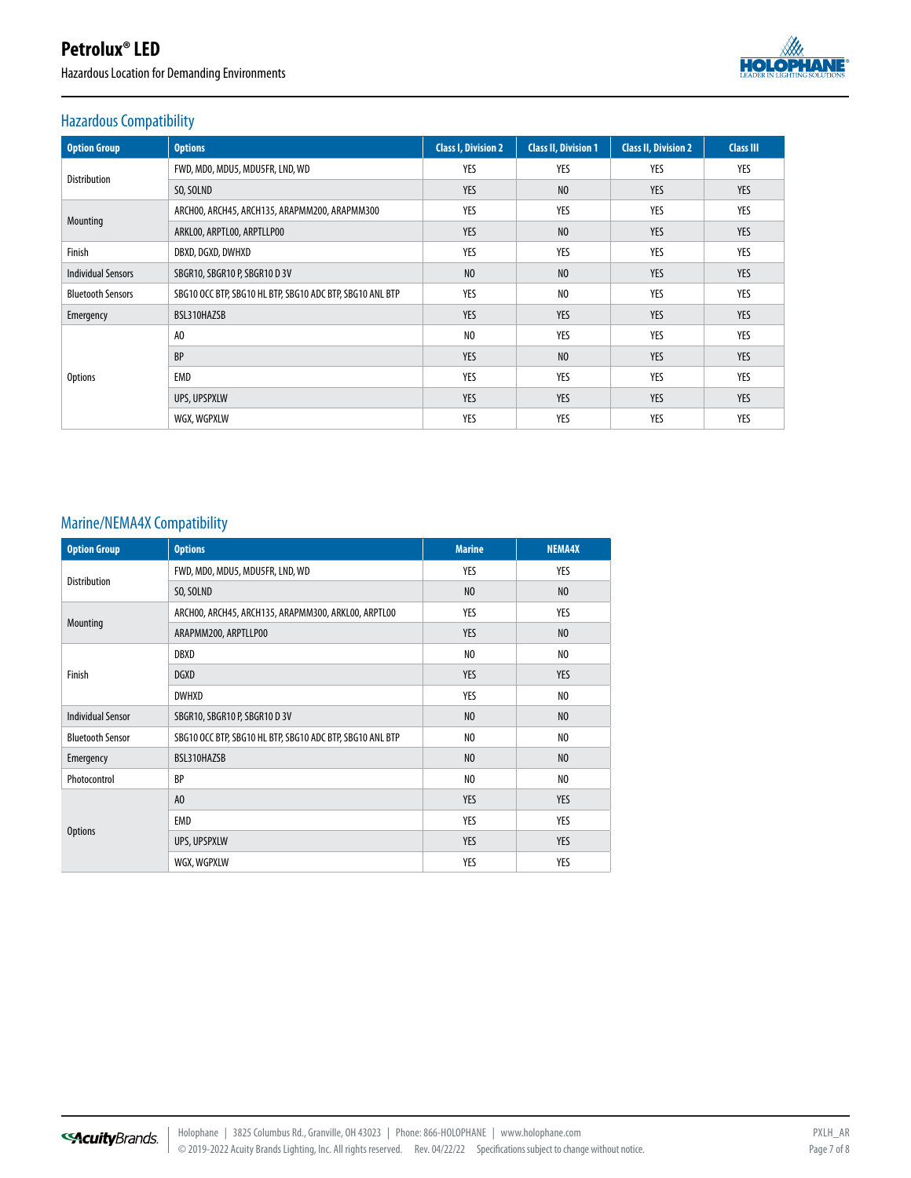Hazardous Location for Demanding Environments



## Hazardous Compatibility

| <b>Option Group</b>       | <b>Options</b>                                            | <b>Class I, Division 2</b> | <b>Class II, Division 1</b> | <b>Class II, Division 2</b> | <b>Class III</b> |
|---------------------------|-----------------------------------------------------------|----------------------------|-----------------------------|-----------------------------|------------------|
| <b>Distribution</b>       | FWD, MDO, MDU5, MDU5FR, LND, WD                           | YES                        | YES                         | YES                         | YES              |
|                           | SO, SOLND                                                 | <b>YES</b>                 | N <sub>0</sub>              | <b>YES</b>                  | YES              |
|                           | ARCHOO, ARCH45, ARCH135, ARAPMM200, ARAPMM300             | YES                        | YES                         | YES                         | YES              |
| Mounting                  | ARKLOO, ARPTLOO, ARPTLLPOO                                | <b>YES</b>                 | N <sub>0</sub>              | <b>YES</b>                  | <b>YES</b>       |
| Finish                    | DBXD, DGXD, DWHXD                                         | YES                        | YES                         | YES                         | YES              |
| <b>Individual Sensors</b> | SBGR10, SBGR10 P, SBGR10 D 3V                             | N <sub>0</sub>             | N <sub>0</sub>              | <b>YES</b>                  | <b>YES</b>       |
| <b>Bluetooth Sensors</b>  | SBG10 OCC BTP, SBG10 HL BTP, SBG10 ADC BTP, SBG10 ANL BTP | YES                        | N <sub>0</sub>              | YES                         | YES              |
| Emergency                 | BSL310HAZSB                                               | <b>YES</b>                 | <b>YES</b>                  | <b>YES</b>                  | <b>YES</b>       |
|                           | A <sub>0</sub>                                            | N <sub>0</sub>             | YES                         | YES                         | YES              |
| <b>Options</b>            | <b>BP</b>                                                 | <b>YES</b>                 | N <sub>0</sub>              | <b>YES</b>                  | <b>YES</b>       |
|                           | EMD                                                       | YES                        | YES                         | YES                         | YES              |
|                           | UPS, UPSPXLW                                              | YES                        | <b>YES</b>                  | <b>YES</b>                  | <b>YES</b>       |
|                           | WGX, WGPXLW                                               | YES                        | YES                         | YES                         | YES              |

## Marine/NEMA4X Compatibility

| <b>Option Group</b>      | <b>Options</b>                                            | <b>Marine</b>  | <b>NEMA4X</b>  |
|--------------------------|-----------------------------------------------------------|----------------|----------------|
| <b>Distribution</b>      | FWD, MDO, MDU5, MDU5FR, LND, WD                           | YES            | YES            |
|                          | SO, SOLND                                                 | N <sub>0</sub> | N <sub>0</sub> |
|                          | ARCHOO, ARCH45, ARCH135, ARAPMM300, ARKLOO, ARPTLOO       | YES            | YES            |
| Mounting                 | ARAPMM200, ARPTLLP00                                      | <b>YES</b>     | N <sub>0</sub> |
|                          | DBXD                                                      | NO             | N <sub>0</sub> |
| Finish                   | <b>DGXD</b>                                               | <b>YES</b>     | <b>YES</b>     |
|                          | <b>DWHXD</b>                                              | YES            | N <sub>0</sub> |
| <b>Individual Sensor</b> | SBGR10, SBGR10 P, SBGR10 D 3V                             | N <sub>0</sub> | N <sub>0</sub> |
| <b>Bluetooth Sensor</b>  | SBG10 OCC BTP, SBG10 HL BTP, SBG10 ADC BTP, SBG10 ANL BTP | NO             | N <sub>0</sub> |
| Emergency                | BSL310HAZSB                                               | N <sub>0</sub> | N <sub>0</sub> |
| Photocontrol             | <b>BP</b>                                                 | NO             | N <sub>0</sub> |
|                          | A <sub>0</sub>                                            | <b>YES</b>     | <b>YES</b>     |
|                          | EMD                                                       | YES            | YES            |
| <b>Options</b>           | UPS, UPSPXLW                                              | <b>YES</b>     | <b>YES</b>     |
|                          | WGX, WGPXLW                                               | YES            | YES            |